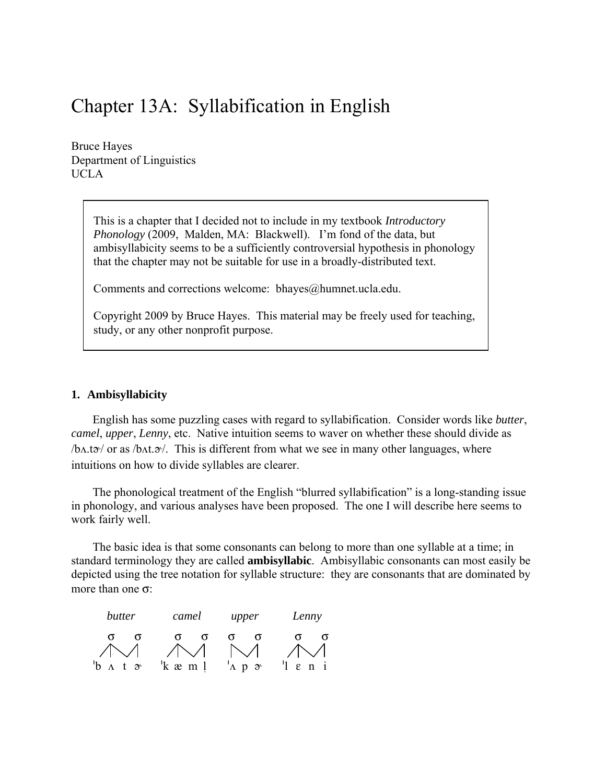# Chapter 13A: Syllabification in English

Bruce Hayes Department of Linguistics UCLA

> This is a chapter that I decided not to include in my textbook *Introductory Phonology* (2009, Malden, MA: Blackwell). I'm fond of the data, but ambisyllabicity seems to be a sufficiently controversial hypothesis in phonology that the chapter may not be suitable for use in a broadly-distributed text.

Comments and corrections welcome: [bhayes@humnet.ucla.edu.](mailto:bhayes@humnet.ucla.edu)

Copyright 2009 by Bruce Hayes. This material may be freely used for teaching, study, or any other nonprofit purpose.

#### **1. Ambisyllabicity**

English has some puzzling cases with regard to syllabification. Consider words like *butter*, *camel*, *upper*, *Lenny*, etc. Native intuition seems to waver on whether these should divide as  $/\text{bA.ta}$  or as  $/\text{bA.ta}$ . This is different from what we see in many other languages, where intuitions on how to divide syllables are clearer.

The phonological treatment of the English "blurred syllabification" is a long-standing issue in phonology, and various analyses have been proposed. The one I will describe here seems to work fairly well.

The basic idea is that some consonants can belong to more than one syllable at a time; in standard terminology they are called **ambisyllabic**. Ambisyllabic consonants can most easily be depicted using the tree notation for syllable structure: they are consonants that are dominated by more than one σ:

| butter                        | camel     | upper                                       | Lenny                      |
|-------------------------------|-----------|---------------------------------------------|----------------------------|
|                               |           |                                             |                            |
| 'b<br>$\Lambda$<br>$t \infty$ | $k$ a m 1 | $^{\prime}$ A p<br>$\partial^{\mathcal{C}}$ | $'1$ $\varepsilon$ $n$ $i$ |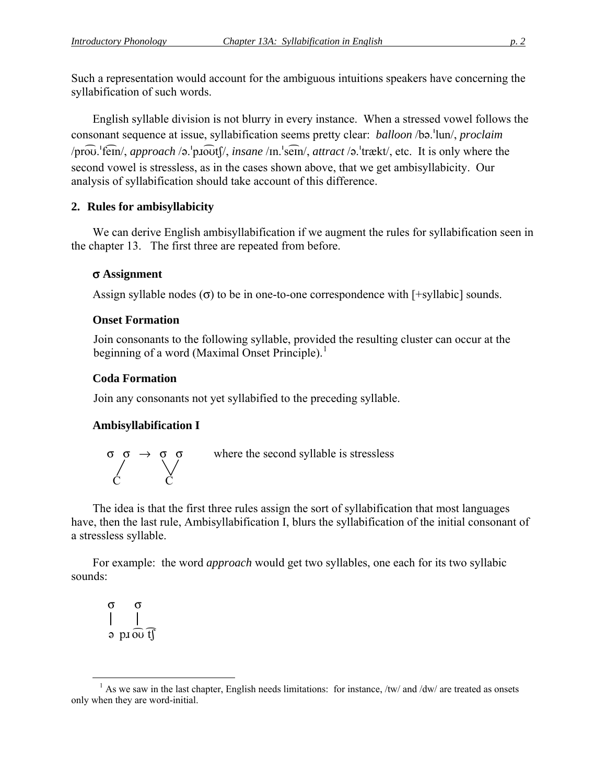Such a representation would account for the ambiguous intuitions speakers have concerning the syllabification of such words.

English syllable division is not blurry in every instance. When a stressed vowel follows the consonant sequence at issue, syllabification seems pretty clear: *balloon* /bə.<sup>1</sup>lun/, *proclaim* /prou.'fem/, *approach* /ə.'pnouts/, *insane* /m.'sem/, *attract* /ə.'trækt/, etc. It is only where the second vowel is stressless, as in the cases shown above, that we get ambisyllabicity. Our analysis of syllabification should take account of this difference.

## **2. Rules for ambisyllabicity**

We can derive English ambisyllabification if we augment the rules for syllabification seen in the chapter 13. The first three are repeated from before.

#### σ **Assignment**

Assign syllable nodes  $(\sigma)$  to be in one-to-one correspondence with [+syllabic] sounds.

## **Onset Formation**

Join consonants to the following syllable, provided the resulting cluster can occur at the beginning of a word (Maximal Onset Principle).<sup>[1](#page-1-0)</sup>

## **Coda Formation**

Join any consonants not yet syllabified to the preceding syllable.

## **Ambisyllabification I**



where the second syllable is stressless

The idea is that the first three rules assign the sort of syllabification that most languages have, then the last rule, Ambisyllabification I, blurs the syllabification of the initial consonant of a stressless syllable.

For example: the word *approach* would get two syllables, one each for its two syllabic sounds:

 σ σ  $\partial$  pro $\widehat{\omega}$  tf

<span id="page-1-0"></span> $\overline{a}$  $<sup>1</sup>$  As we saw in the last chapter, English needs limitations: for instance, /tw/ and /dw/ are treated as onsets</sup> only when they are word-initial.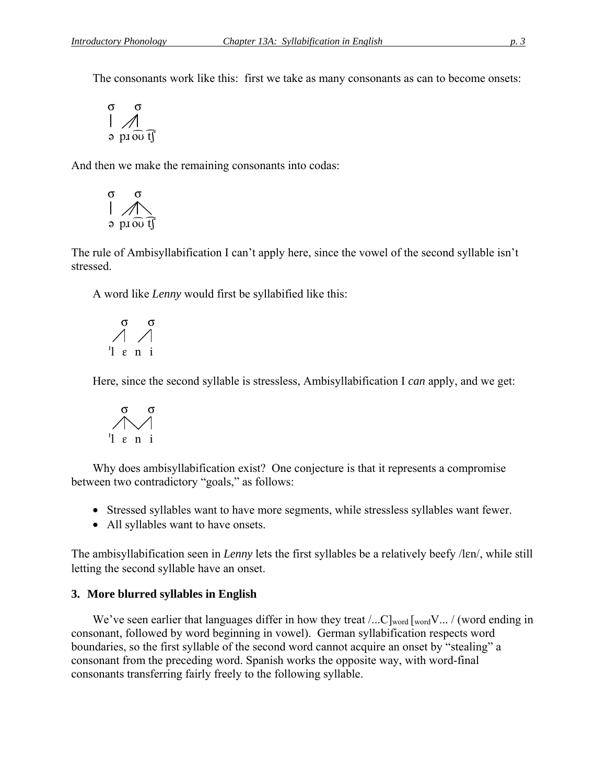The consonants work like this: first we take as many consonants as can to become onsets:

$$
\begin{matrix} \sigma & \sigma \\ \text{ } & \text{ } \\ \text{ } & \text{ } \\ \text{ } & \text{ } \\ \text{ } & \text{ } \\ \text{ } & \text{ } \\ \text{ } & \text{ } \\ \text{ } & \text{ } \\ \text{ } & \text{ } \\ \text{ } & \text{ } \\ \text{ } & \text{ } \\ \text{ } & \text{ } \\ \text{ } & \text{ } \\ \text{ } & \text{ } \\ \text{ } & \text{ } \\ \text{ } & \text{ } \\ \text{ } & \text{ } \\ \text{ } & \text{ } \\ \text{ } & \text{ } \\ \text{ } & \text{ } \\ \text{ } & \text{ } \\ \text{ } & \text{ } \\ \text{ } & \text{ } \\ \text{ } & \text{ } \\ \text{ } & \text{ } \\ \text{ } & \text{ } \\ \text{ } & \text{ } \\ \text{ } & \text{ } \\ \text{ } & \text{ } \\ \text{ } & \text{ } \\ \text{ } & \text{ } \\ \text{ } & \text{ } \\ \text{ } & \text{ } \\ \text{ } & \text{ } \\ \text{ } & \text{ } \\ \text{ } & \text{ } \\ \text{ } & \text{ } \\ \text{ } & \text{ } \\ \text{ } & \text{ } \\ \text{ } & \text{ } \\ \text{ } & \text{ } \\ \text{ } & \text{ } \\ \text{ } & \text{ } \\ \text{ } & \text{ } \\ \text{ } & \text{ } \\ \text{ } & \text{ } \\ \text{ } & \text{ } \\ \text{ } & \text{ } \\ \text{ } & \text{ } \\ \text{ } & \text{ } \\ \text{ } & \text{ } \\ \text{ } & \text{ } \\ \text{ } & \text{ } \\ \text{ } & \text{ } \\ \text{ } & \text{ } \\ \text{ } & \text{ } \\ \text{ } & \text{ } \\ \text{ } & \text{ } \\ \text{ } & \text{ } \\ \text{ } & \text{ } \\ \text{ } & \text{ } \\ \text{ } & \text{ } \\ \text{ } & \text{ } \\ \text{ } & \text{ } \\ \text{ } & \text{ } \\ \text{ } & \text{ } \\ \text{ } & \text{ } \\ \text{ } & \text{ } \\ \text{ } & \text{ } \\ \text{ } & \text{ } \\ \text{ } & \text{ } \\ \text{ } & \text{ } \\ \text{ } & \text{ } \\ \text{ } & \text{ } \\ \text{ } & \text{ } \\ \text{ } & \text{ }
$$

And then we make the remaining consonants into codas:

$$
\begin{matrix} \sigma & \sigma \\ \eta & \sigma \\ \sigma & \rho \end{matrix}
$$

The rule of Ambisyllabification I can't apply here, since the vowel of the second syllable isn't stressed.

A word like *Lenny* would first be syllabified like this:

$$
\begin{array}{c}\n\sigma & \sigma \\
\wedge & \wedge \\
\downarrow & \varepsilon \quad n \quad i\n\end{array}
$$

Here, since the second syllable is stressless, Ambisyllabification I *can* apply, and we get:

$$
\begin{array}{c}\n\sigma & \sigma \\
\hline\n\gamma & \pi \\
\eta & \epsilon \quad \text{if} \quad \text{if} \quad \text{if} \quad \text{if} \quad \text{if} \quad \text{if} \quad \text{if} \quad \text{if} \quad \text{if} \quad \text{if} \quad \text{if} \quad \text{if} \quad \text{if} \quad \text{if} \quad \text{if} \quad \text{if} \quad \text{if} \quad \text{if} \quad \text{if} \quad \text{if} \quad \text{if} \quad \text{if} \quad \text{if} \quad \text{if} \quad \text{if} \quad \text{if} \quad \text{if} \quad \text{if} \quad \text{if} \quad \text{if} \quad \text{if} \quad \text{if} \quad \text{if} \quad \text{if} \quad \text{if} \quad \text{if} \quad \text{if} \quad \text{if} \quad \text{if} \quad \text{if} \quad \text{if} \quad \text{if} \quad \text{if} \quad \text{if} \quad \text{if} \quad \text{if} \quad \text{if} \quad \text{if} \quad \text{if} \quad \text{if} \quad \text{if} \quad \text{if} \quad \text{if} \quad \text{if} \quad \text{if} \quad \text{if} \quad \text{if} \quad \text{if} \quad \text{if} \quad \text{if} \quad \text{if} \quad \text{if} \quad \text{if} \quad \text{if} \quad \text{if} \quad \text{if} \quad \text{if} \quad \text{if} \quad \text{if} \quad \text{if} \quad \text{if} \quad \text{if} \quad \text{if} \quad \text{if} \quad \text{if} \quad \text{if} \quad \text{if} \quad \text{if} \quad \text{if} \quad \text{if} \quad \text{if} \quad \text{if} \quad \text{if} \quad \text{if} \quad \text{if} \quad \text{if} \quad \text{if} \quad \text{if} \quad \text{if} \quad \text{if} \quad \text{if} \quad \text{if} \quad \text{if} \quad \text{if} \quad \text{if} \quad \text{if} \quad \text{if} \quad \text{if} \quad \text{if} \quad \text{if} \quad \text{if} \quad \text{if} \quad \text{if} \quad \text{if} \quad \
$$

Why does ambisyllabification exist? One conjecture is that it represents a compromise between two contradictory "goals," as follows:

- Stressed syllables want to have more segments, while stressless syllables want fewer.
- All syllables want to have onsets.

The ambisyllabification seen in *Lenny* lets the first syllables be a relatively beefy /len/, while still letting the second syllable have an onset.

## **3. More blurred syllables in English**

We've seen earlier that languages differ in how they treat  $\ldots$ C]<sub>word</sub> [word V... / (word ending in consonant, followed by word beginning in vowel). German syllabification respects word boundaries, so the first syllable of the second word cannot acquire an onset by "stealing" a consonant from the preceding word. Spanish works the opposite way, with word-final consonants transferring fairly freely to the following syllable.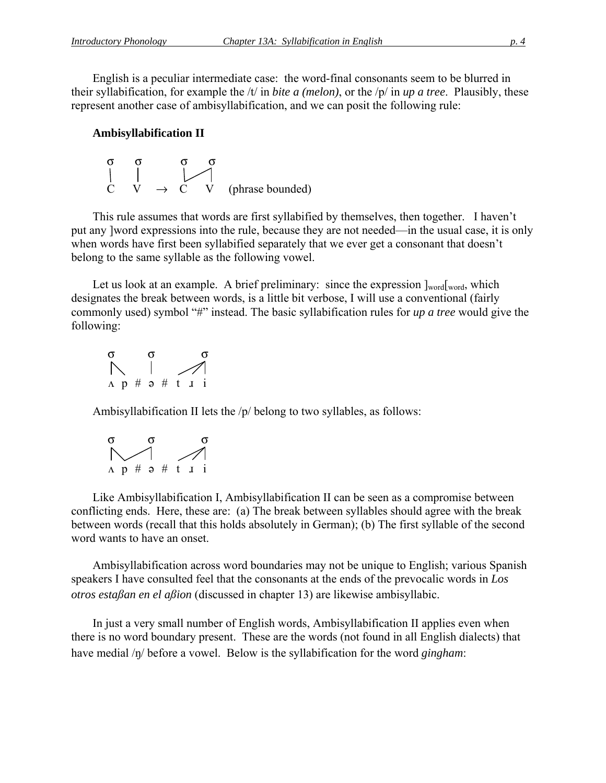English is a peculiar intermediate case: the word-final consonants seem to be blurred in their syllabification, for example the /t/ in *bite a (melon)*, or the /p/ in *up a tree*. Plausibly, these represent another case of ambisyllabification, and we can posit the following rule:

#### **Ambisyllabification II**

$$
\begin{array}{ccc}\n\sigma & \sigma & \sigma & \sigma \\
\vert & \vert & \vert & \vert \\
C & V & \to & C & V\n\end{array}
$$
 (phrase bounded)

This rule assumes that words are first syllabified by themselves, then together. I haven't put any ]word expressions into the rule, because they are not needed—in the usual case, it is only when words have first been syllabified separately that we ever get a consonant that doesn't belong to the same syllable as the following vowel.

Let us look at an example. A brief preliminary: since the expression  $\vert_{\text{word}}\vert_{\text{word}}$ , which designates the break between words, is a little bit verbose, I will use a conventional (fairly commonly used) symbol "#" instead. The basic syllabification rules for *up a tree* would give the following:



Ambisyllabification II lets the /p/ belong to two syllables, as follows:

$$
\begin{array}{c}\n\sigma \\
\searrow \\
\Lambda \quad p \# \quad \ni \# \quad t \quad \text{if} \quad \mathbf{i}\n\end{array}
$$

Like Ambisyllabification I, Ambisyllabification II can be seen as a compromise between conflicting ends. Here, these are: (a) The break between syllables should agree with the break between words (recall that this holds absolutely in German); (b) The first syllable of the second word wants to have an onset.

Ambisyllabification across word boundaries may not be unique to English; various Spanish speakers I have consulted feel that the consonants at the ends of the prevocalic words in *Los otros estaan en el aion* (discussed in chapter 13) are likewise ambisyllabic.

In just a very small number of English words, Ambisyllabification II applies even when there is no word boundary present. These are the words (not found in all English dialects) that have medial /ŋ/ before a vowel. Below is the syllabification for the word *gingham*: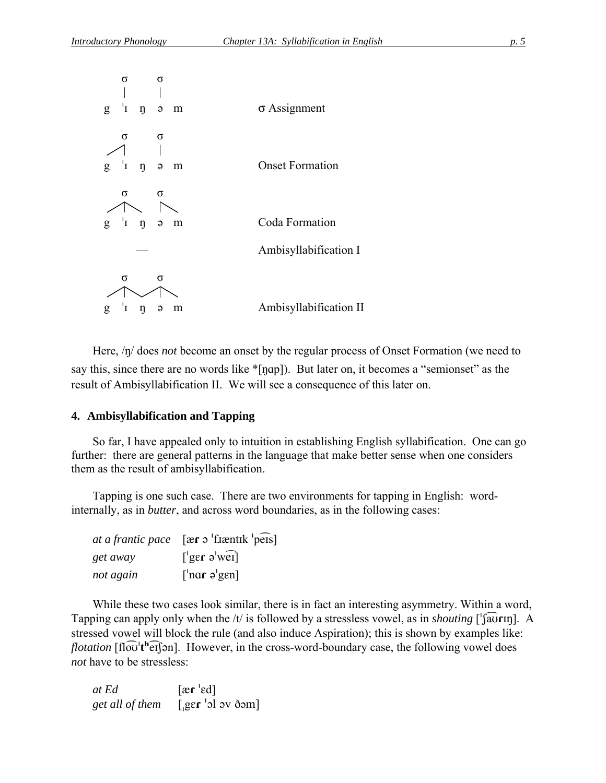| σ<br>$\sigma$                                     |                        |
|---------------------------------------------------|------------------------|
| $^{-1}\mathrm{I}$<br>$\eta$<br>g<br>$\Theta$<br>m | $\sigma$ Assignment    |
| σ<br>σ                                            |                        |
| $g^{-1}I$<br>$\eta$<br>$\Theta$<br>m              | <b>Onset Formation</b> |
| σ<br>σ                                            | Coda Formation         |
| $g^{-1}I$ $\eta$<br>$\Theta$<br>m                 |                        |
|                                                   | Ambisyllabification I  |
| σ<br>σ                                            |                        |
| 'I<br>ŋ<br>g<br>$\Theta$<br>m                     | Ambisyllabification II |

Here,  $\eta$  does *not* become an onset by the regular process of Onset Formation (we need to say this, since there are no words like \*[ŋɑp]). But later on, it becomes a "semionset" as the result of Ambisyllabification II. We will see a consequence of this later on.

#### **4. Ambisyllabification and Tapping**

So far, I have appealed only to intuition in establishing English syllabification. One can go further: there are general patterns in the language that make better sense when one considers them as the result of ambisyllabification.

Tapping is one such case. There are two environments for tapping in English: wordinternally, as in *butter*, and across word boundaries, as in the following cases:

|           | at a frantic pace $[\text{er }\sigma^{\text{!}}]$ fixentik $[\text{per }\sigma]$ |
|-----------|----------------------------------------------------------------------------------|
| get away  | $\lceil \lg \epsilon \rceil$ as $\lceil \lg \epsilon \rceil$                     |
| not again | $\lceil \ln \frac{1}{2} \text{sgn} \rceil$                                       |

While these two cases look similar, there is in fact an interesting asymmetry. Within a word, Tapping can apply only when the /t/ is followed by a stressless vowel, as in *shouting* [' $\sqrt{a}$ **CIII**]. A stressed vowel will block the rule (and also induce Aspiration); this is shown by examples like: *flotation* [fl $\widehat{\omega}$ <sup>th</sup> $\widehat{\text{er}}$ [ $\ominus$ n]. However, in the cross-word-boundary case, the following vowel does *not* have to be stressless:

| at Ed           | $[\text{ær}^{\dagger}\text{ed}]$ |
|-----------------|----------------------------------|
| get all of them | [ger $\alpha$ or $\alpha$ ]      |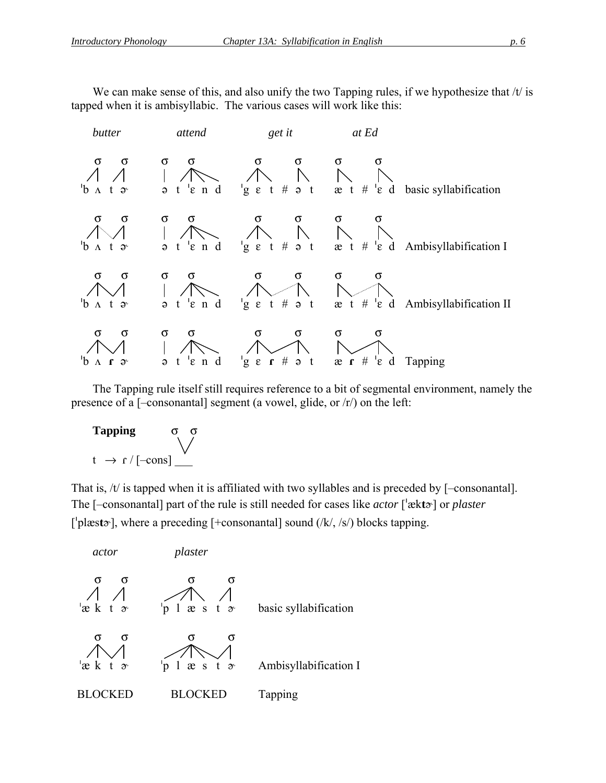We can make sense of this, and also unify the two Tapping rules, if we hypothesize that  $/t$  is tapped when it is ambisyllabic. The various cases will work like this:



The Tapping rule itself still requires reference to a bit of segmental environment, namely the presence of a [–consonantal] segment (a vowel, glide, or /r/) on the left:



That is, /t/ is tapped when it is affiliated with two syllables and is preceded by [-consonantal]. The [-consonantal] part of the rule is still needed for cases like *actor* ['ækt $\alpha$ '] or *plaster* ['plæst<sub>2</sub>'], where a preceding [+consonantal] sound (/k/, /s/) blocks tapping.

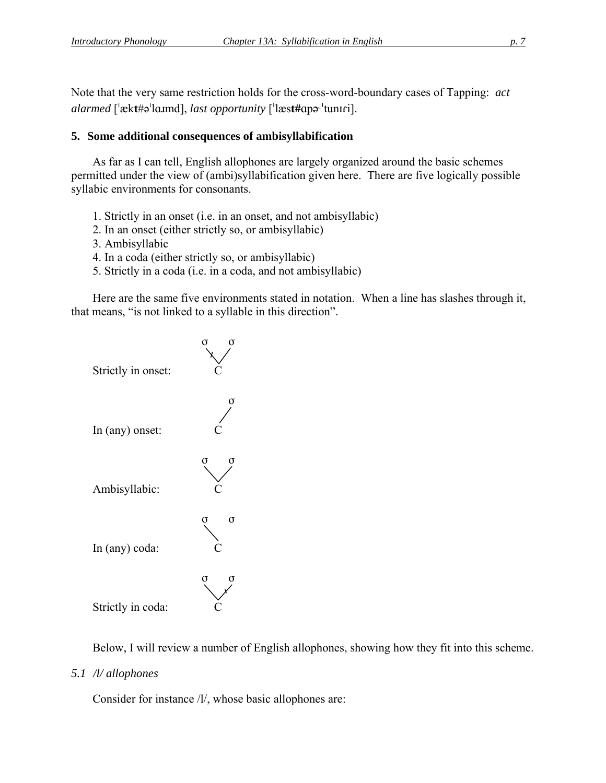Note that the very same restriction holds for the cross-word-boundary cases of Tapping: *act alarmed* ['ækt#ə'lɑɪmd], *last opportunity* ['læst#apə<sup>, *'tuniri*].</sup>

#### **5. Some additional consequences of ambisyllabification**

As far as I can tell, English allophones are largely organized around the basic schemes permitted under the view of (ambi)syllabification given here. There are five logically possible syllabic environments for consonants.

- 1. Strictly in an onset (i.e. in an onset, and not ambisyllabic)
- 2. In an onset (either strictly so, or ambisyllabic)
- 3. Ambisyllabic
- 4. In a coda (either strictly so, or ambisyllabic)
- 5. Strictly in a coda (i.e. in a coda, and not ambisyllabic)

Here are the same five environments stated in notation. When a line has slashes through it, that means, "is not linked to a syllable in this direction".



Below, I will review a number of English allophones, showing how they fit into this scheme.

*5.1 /l/ allophones* 

Consider for instance /l/, whose basic allophones are: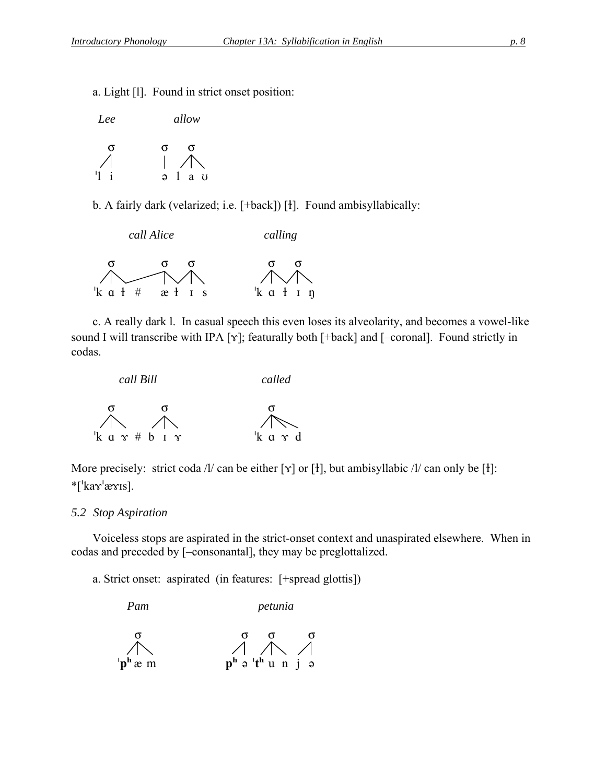a. Light [l]. Found in strict onset position:

| Lee | allow                          |
|-----|--------------------------------|
| σ   | σ<br>$\Omega$                  |
| 11  | a.<br>$\mathbf{U}$<br>$\Theta$ |

b. A fairly dark (velarized; i.e.  $[+back]$ ) [t]. Found ambisyllabically:



c. A really dark l. In casual speech this even loses its alveolarity, and becomes a vowel-like sound I will transcribe with IPA  $[\gamma]$ ; featurally both  $[+back]$  and  $[-coronal]$ . Found strictly in codas.



More precisely: strict coda /l/ can be either [ $\gamma$ ] or [1], but ambisyllabic /l/ can only be [1]:  $*$ ['ka $\mathbf{x}'$ æ $\mathbf{x}$ is].

#### *5.2 Stop Aspiration*

Voiceless stops are aspirated in the strict-onset context and unaspirated elsewhere. When in codas and preceded by [–consonantal], they may be preglottalized.

a. Strict onset: aspirated (in features: [+spread glottis])

 *Pam petunia*  σ σ σ σ  $p^h$ æm **p**<sup>h</sup> ə 't<sup>h</sup> u n j ə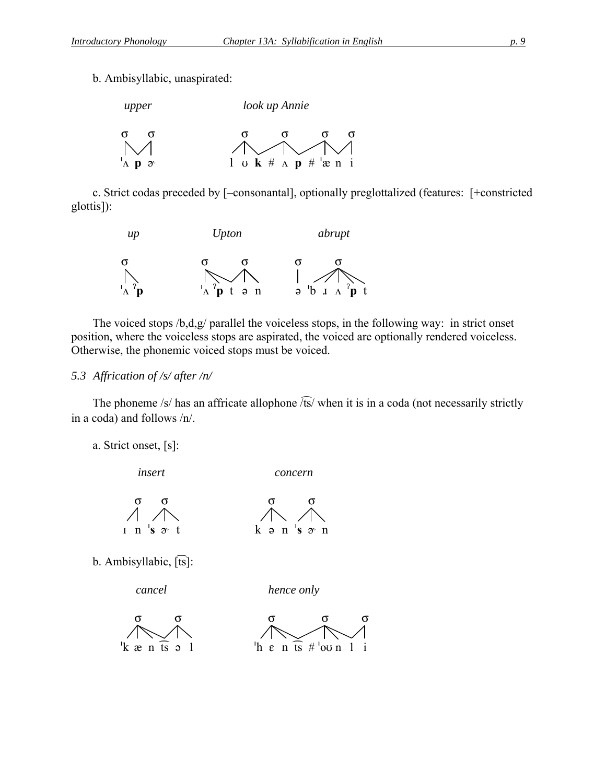b. Ambisyllabic, unaspirated:



c. Strict codas preceded by [–consonantal], optionally preglottalized (features: [+constricted glottis]):



The voiced stops /b,d,g/ parallel the voiceless stops, in the following way: in strict onset position, where the voiceless stops are aspirated, the voiced are optionally rendered voiceless. Otherwise, the phonemic voiced stops must be voiced.

#### *5.3 Affrication of /s/ after /n/*

The phoneme /s/ has an affricate allophone  $\sqrt{ts}$ / when it is in a coda (not necessarily strictly in a coda) and follows /n/.

a. Strict onset, [s]:



- σ σ σ σ  $\mathbf{r}$   $\mathbf{n}$  **s**  $\mathbf{\hat{z}}$  **t k**  $\mathbf{\hat{z}}$  **n s**  $\mathbf{\hat{z}}$  **n**
- b. Ambisyllabic, [ts]:

 *cancel hence only* 

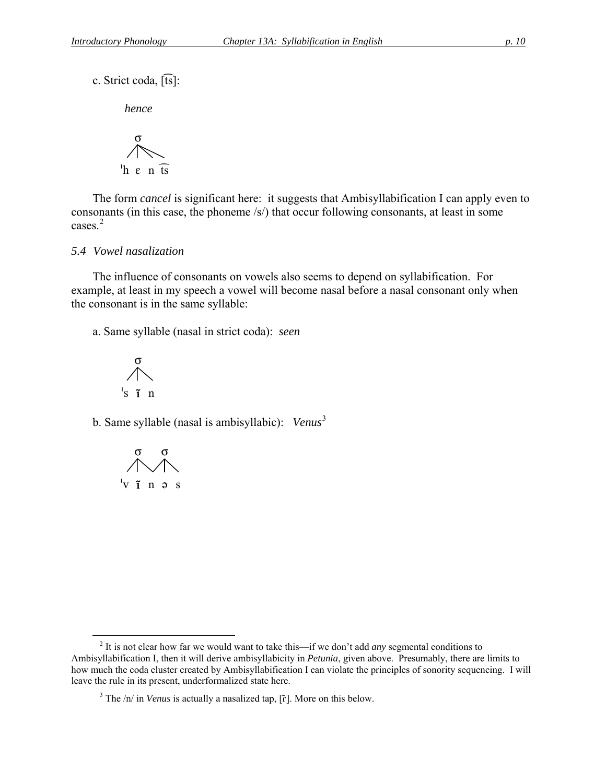c. Strict coda, [ts]:

*hence*

$$
\bigwedge_{h \text{ } \varepsilon \text{ } n \text{ } \overline{\text{ is }}}
$$

The form *cancel* is significant here: it suggests that Ambisyllabification I can apply even to consonants (in this case, the phoneme /s/) that occur following consonants, at least in some cases. $2$ 

#### *5.4 Vowel nasalization*

The influence of consonants on vowels also seems to depend on syllabification. For example, at least in my speech a vowel will become nasal before a nasal consonant only when the consonant is in the same syllable:

a. Same syllable (nasal in strict coda): *seen*

$$
\bigwedge_{i_S \text{ } \tilde{1} \text{ } n}^{\sigma}
$$

b. Same syllable (nasal is ambisyllabic): *Venus*[3](#page-9-1)



<span id="page-9-1"></span><span id="page-9-0"></span> $\overline{a}$ 2 It is not clear how far we would want to take this—if we don't add *any* segmental conditions to Ambisyllabification I, then it will derive ambisyllabicity in *Petunia*, given above. Presumably, there are limits to how much the coda cluster created by Ambisyllabification I can violate the principles of sonority sequencing. I will leave the rule in its present, underformalized state here.

 $3$  The  $/n/$  in *Venus* is actually a nasalized tap, [ $\tilde{r}$ ]. More on this below.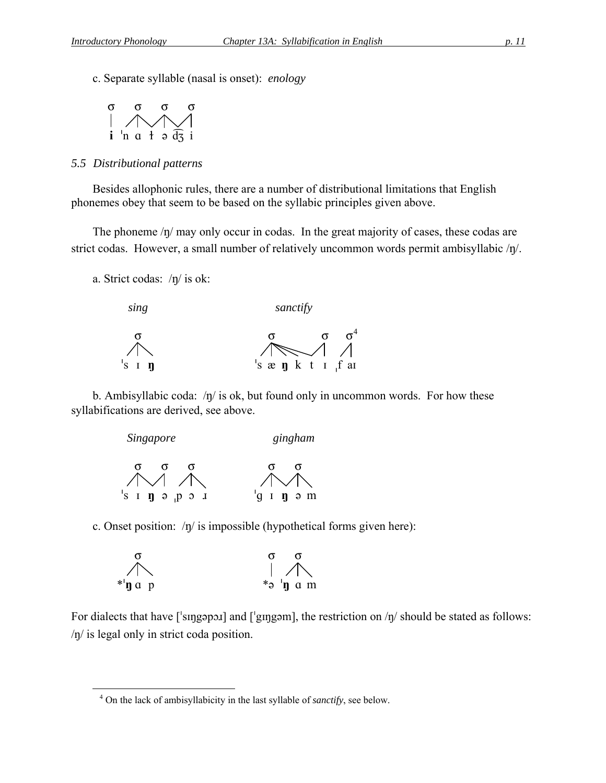c. Separate syllable (nasal is onset): *enology* 



#### *5.5 Distributional patterns*

Besides allophonic rules, there are a number of distributional limitations that English phonemes obey that seem to be based on the syllabic principles given above.

The phoneme  $/\eta$  may only occur in codas. In the great majority of cases, these codas are strict codas. However, a small number of relatively uncommon words permit ambisyllabic  $/p/$ .

a. Strict codas:  $/y/$  is ok:

<span id="page-10-0"></span> $\overline{a}$ 



b. Ambisyllabic coda:  $/\eta$  is ok, but found only in uncommon words. For how these syllabifications are derived, see above.



c. Onset position:  $/\eta$  is impossible (hypothetical forms given here):

$$
\begin{array}{ccccc}\n\sigma & & & \sigma & \sigma \\
\wedge & & & & \uparrow & \nearrow \\
\ast \mathfrak{y} & \mathfrak{y} & \mathfrak{y} & \mathfrak{a} & \mathfrak{m}\n\end{array}
$$

For dialects that have  $\lceil \text{supp} \cdot \text{supp} \cdot \text{supp} \cdot \text{supp} \cdot \text{supp} \cdot \text{supp} \cdot \text{supp} \cdot \text{supp} \cdot \text{supp} \cdot \text{supp} \cdot \text{supp} \cdot \text{supp} \cdot \text{supp} \cdot \text{supp} \cdot \text{supp} \cdot \text{supp} \cdot \text{supp} \cdot \text{supp} \cdot \text{supp} \cdot \text{supp} \cdot \text{supp} \cdot \text{supp} \cdot \text{supp} \cdot \text{supp} \cdot \text$ /ŋ/ is legal only in strict coda position.

<sup>4</sup> On the lack of ambisyllabicity in the last syllable of *sanctify*, see below.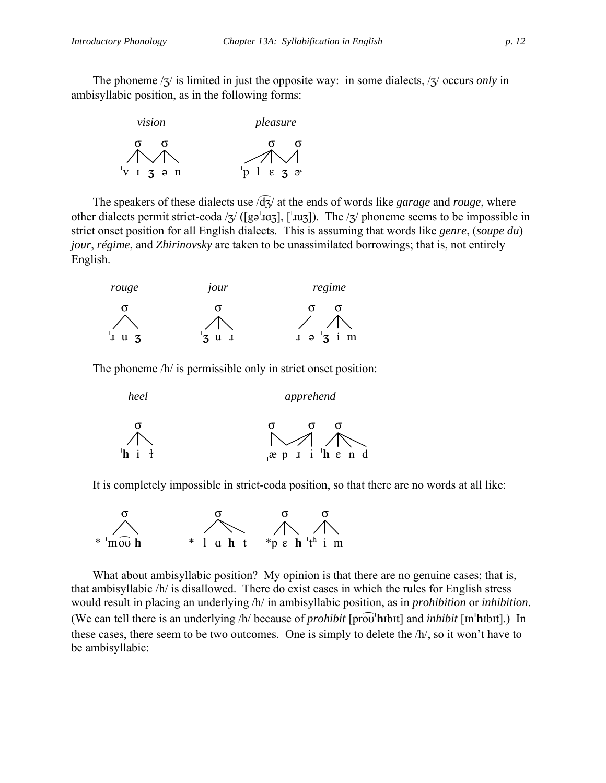The phoneme  $\frac{1}{3}$  is limited in just the opposite way: in some dialects,  $\frac{1}{3}$  occurs *only* in ambisyllabic position, as in the following forms:



The speakers of these dialects use  $\sqrt{d}z$  at the ends of words like *garage* and *rouge*, where other dialects permit strict-coda / $\frac{1}{3}$  ([gə<sup>'</sup>xuz]], [<sup>'xuz</sup>]]). The / $\frac{1}{3}$  phoneme seems to be impossible in strict onset position for all English dialects. This is assuming that words like *genre*, (*soupe du*) *jour*, *régime*, and *Zhirinovsky* are taken to be unassimilated borrowings; that is, not entirely English.

| rouge       | 10ur        | regime                          |
|-------------|-------------|---------------------------------|
|             |             |                                 |
|             |             |                                 |
| J<br>u<br>N | u<br>J<br>ັ | i m<br>$\bf J$<br>$\Theta$<br>J |

The phoneme  $/h/$  is permissible only in strict onset position:

| heel           | apprehend                           |
|----------------|-------------------------------------|
| $^{\dagger}$ h | $\diagup$ / $\diagup$               |
| $i \ell$       | $x p$ $i$ $h$ $\varepsilon$ $n$ $d$ |

It is completely impossible in strict-coda position, so that there are no words at all like:



What about ambisyllabic position? My opinion is that there are no genuine cases; that is, that ambisyllabic /h/ is disallowed. There do exist cases in which the rules for English stress would result in placing an underlying /h/ in ambisyllabic position, as in *prohibition* or *inhibition*. (We can tell there is an underlying /h/ because of *prohibit* [pro $\overline{\text{ob}}$ **'h**ibt] and *inhibit* [m<sup>*'hibt]*.) In</sup> these cases, there seem to be two outcomes. One is simply to delete the /h/, so it won't have to be ambisyllabic: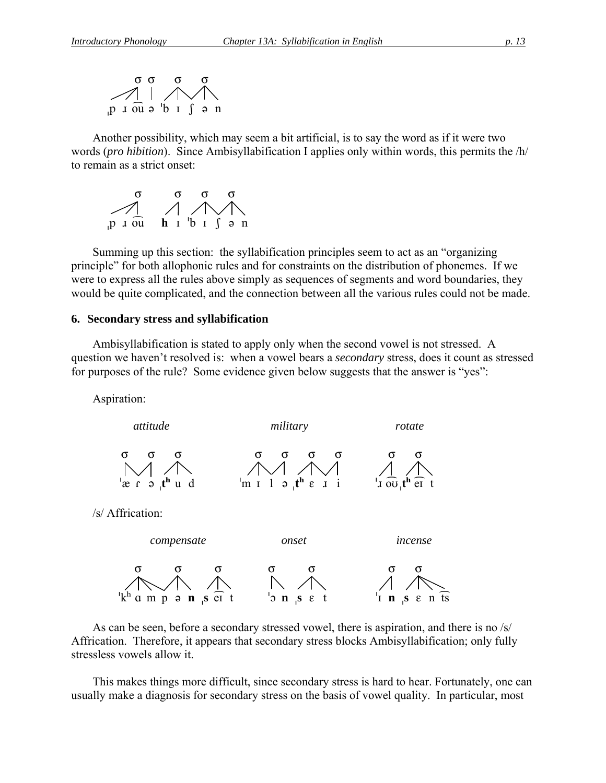

Another possibility, which may seem a bit artificial, is to say the word as if it were two words (*pro hibition*). Since Ambisyllabification I applies only within words, this permits the /h/ to remain as a strict onset:



Summing up this section: the syllabification principles seem to act as an "organizing principle" for both allophonic rules and for constraints on the distribution of phonemes. If we were to express all the rules above simply as sequences of segments and word boundaries, they would be quite complicated, and the connection between all the various rules could not be made.

#### **6. Secondary stress and syllabification**

Ambisyllabification is stated to apply only when the second vowel is not stressed. A question we haven't resolved is: when a vowel bears a *secondary* stress, does it count as stressed for purposes of the rule? Some evidence given below suggests that the answer is "yes":

Aspiration:



As can be seen, before a secondary stressed vowel, there is aspiration, and there is no /s/ Affrication. Therefore, it appears that secondary stress blocks Ambisyllabification; only fully stressless vowels allow it.

This makes things more difficult, since secondary stress is hard to hear. Fortunately, one can usually make a diagnosis for secondary stress on the basis of vowel quality. In particular, most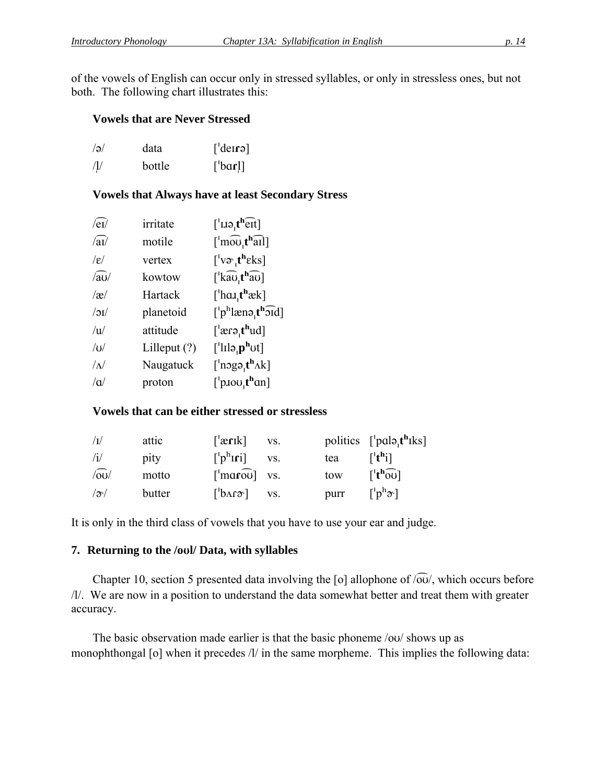of the vowels of English can occur only in stressed syllables, or only in stressless ones, but not both. The following chart illustrates this:

#### **Vowels that are Never Stressed**

| $\sqrt{a}$ | data   | $\lceil \text{der} \rceil$ |
|------------|--------|----------------------------|
| /1/        | bottle | $\lceil$ bar!]             |

**Vowels that Always have at least Secondary Stress** 

| $\sqrt{\mathrm{eV}}$  | irritate       | $\left[$ ' $\text{IIQ}_{1}$ t <sup>h</sup> $\widehat{\text{erf}}$              |
|-----------------------|----------------|--------------------------------------------------------------------------------|
| $\sqrt{aI}$           | motile         | $\lceil \ln 100 t \ln 1 \rceil$                                                |
| $\sqrt{\varepsilon}/$ | vertex         | $['v \infty, t^h \in \mathbb{R}$                                               |
| $\sqrt{av}$           | kowtow         | $\left[\right]$ kau t <sup>h</sup> au $\left[\right]$                          |
| $\alpha$              | Hartack        | $\left[$ 'har $\mathbf{t}^{\mathbf{h}}$ æk]                                    |
| $\sqrt{IC}$           | planetoid      | $\lceil \n\cdot p^{\text{h}} \rceil$ ænə, $\mathbf{t}^{\text{h}}$ ord $\rceil$ |
| $\overline{u}$        | attitude       | $[$ 'ærə,t <sup>h</sup> ud]                                                    |
| U                     | Lilleput $(?)$ | $\lceil$ <sup>'</sup> lılə <sub>'</sub> $\mathbf{p}^{\mathbf{h}}$ ut]          |
| $\Lambda$             | Naugatuck      | $\lceil \text{ngq}_t \cdot \text{rk} \rceil$                                   |
| $\alpha$              | proton         | $\lceil$ <sup>'</sup> p.100 <sub>'</sub> t <sup>h</sup> an]                    |

#### **Vowels that can be either stressed or stressless**

| $\sqrt{I}$      | attic  | $\lceil \text{erik} \rceil$                              | VS. |      | politics $\lceil \cdot \text{palo}_t \mathbf{t}^{\mathbf{h}} \rceil$ |
|-----------------|--------|----------------------------------------------------------|-----|------|----------------------------------------------------------------------|
| $\sqrt{1}$      | pity   | $\lceil$ <sup>b<sub>h</sub>[i]</sup>                     | VS. | tea  | $\lceil$ <sup>th</sup> il                                            |
| $\sqrt{60}$     | motto  | $\lceil \cdot \text{max} \widehat{\text{ou}} \rceil$ vs. |     | tow  | $\lceil t^h \widehat{\omega} \rceil$                                 |
| $ \mathcal{S} $ | butter | $\lceil b \Lambda r \sigma \rceil$                       | VS. | purr | $\lceil \text{p}^{\text{h}} \mathcal{F} \rceil$                      |

It is only in the third class of vowels that you have to use your ear and judge.

#### **7. Returning to the /ol/ Data, with syllables**

Chapter 10, section 5 presented data involving the [o] allophone of  $\sqrt{\omega}$ , which occurs before /l/. We are now in a position to understand the data somewhat better and treat them with greater accuracy.

The basic observation made earlier is that the basic phoneme  $\frac{1}{10}$  shows up as monophthongal [o] when it precedes /l/ in the same morpheme. This implies the following data: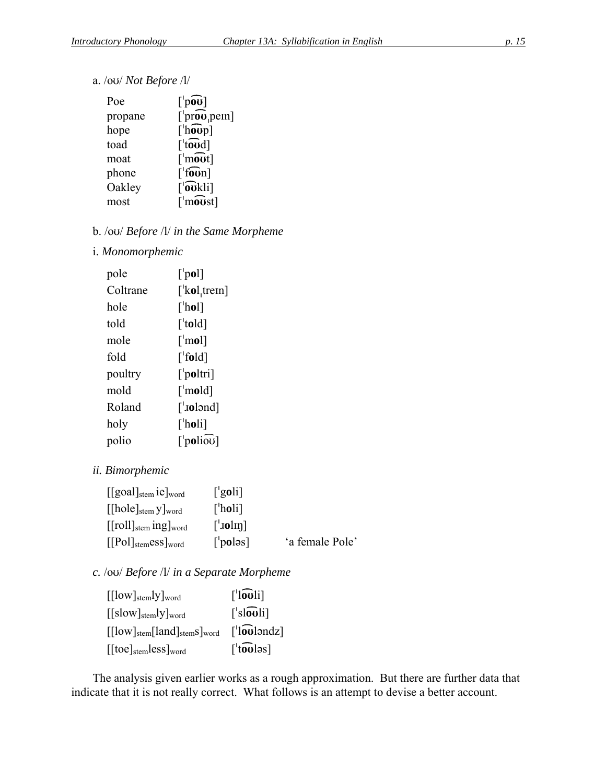a. /ou/ *Not Before* /l/

| Poe     | $\lceil \cdot \cdot \cdot \cdot \cdot \rceil$               |
|---------|-------------------------------------------------------------|
| propane | $[ 'pro\space v ]$ <sub>pem</sub> ]                         |
| hope    | $\lceil \ln 1$                                              |
| toad    | $\lceil \mathbf{t} \mathbf{0} \mathbf{0} \mathbf{d} \rceil$ |
| moat    | $\lceil \mathsf{mout} \rceil$                               |
| phone   | $\lceil$ foun]                                              |
| Oakley  | $\lceil$ 'oukli]                                            |
| most    | $\lceil \cdot \overline{\text{most}} \rceil$                |

## b. /ou/ *Before* /l/ *in the Same Morpheme*

#### i. *Monomorphemic*

| pole     | $\lceil$ 'pol]                   |
|----------|----------------------------------|
| Coltrane | $\lceil$ kol, trem]              |
| hole     | $\lceil$ 'hol]                   |
| told     | $\lceil \text{told} \rceil$      |
| mole     | $\lceil \cdot \text{mol} \rceil$ |
| fold     | $\lceil \text{fold} \rceil$      |
| poultry  | ['poltri]                        |
| mold     | $\lceil \text{mod} \rceil$       |
| Roland   | $[\text{Jolənd}]$                |
| holy     | [ˈh <b>o</b> li]                 |
| polio    | $[$ 'poliou]                     |

#### *ii. Bimorphemic*

| $[[goal]_{stem}$ ie $]_{word}$                                     | $\lceil$ 'goli]                   |                 |
|--------------------------------------------------------------------|-----------------------------------|-----------------|
| $[[hole]_{stem}$ y word                                            | $\lceil$ holi $\rceil$            |                 |
| $[[roll]_{stem}$ ing $]_{word}$                                    | $\lceil \cdot \text{tolm} \rceil$ |                 |
| $\left[\text{[Pol]}_{\text{stem}} \text{ess}\right]_{\text{word}}$ | $\lceil$ 'poləs]                  | 'a female Pole' |

## *c.* /ov/ Before /l/ in a Separate Morpheme

| $\left[\frac{\text{low}}{\text{stem}}\right]$ word   | $\lceil$ louli]            |
|------------------------------------------------------|----------------------------|
| $\left[\frac{\text{Slow}}{\text{stem}}\right]$ word  | $\lceil$ 'slouli]          |
| $[[low]_{stem}[land]_{stem}$                         | $\lceil$ louləndz $\rceil$ |
| $[[\text{toe}]_{\text{stem}}$ less $]_{\text{word}}$ | $\lceil$ touləs]           |

The analysis given earlier works as a rough approximation. But there are further data that indicate that it is not really correct. What follows is an attempt to devise a better account.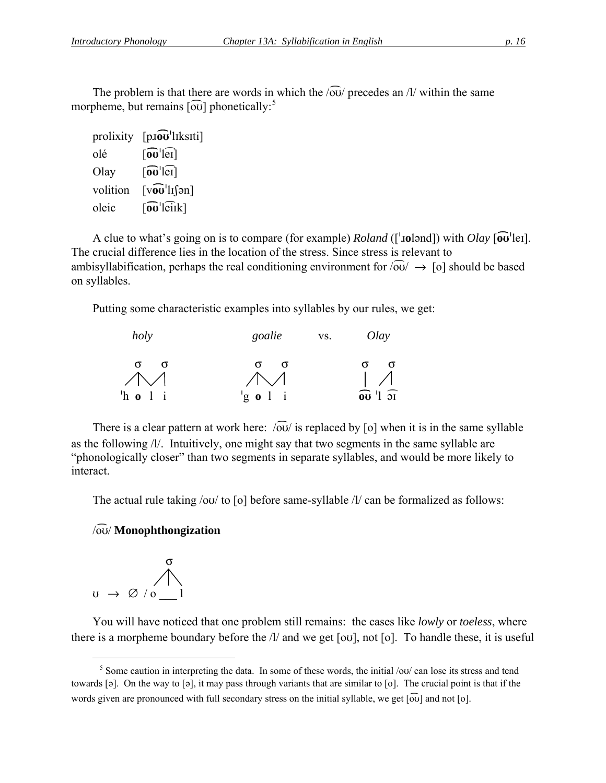The problem is that there are words in which the  $\sqrt{ou}$  precedes an /l/ within the same morpheme, but remains [ $\widehat{\text{ou}}$ ] phonetically:<sup>[5](#page-15-0)</sup>

| prolixity | $[$ p. $\overline{ov}$ 'lıksıti]                                                   |
|-----------|------------------------------------------------------------------------------------|
| olé       | $\lceil \widehat{\mathbf{ou}}' \rceil$                                             |
| Olay      | $\lceil \widehat{\mathbf{ou}}' \rceil$ er                                          |
| volition  | $\lceil \sqrt{v} \overline{v} \cdot \ln \lceil \frac{1}{2} \pi \rceil$             |
| oleic     | $\lceil \mathbf{\widehat{\omega}}^{\mathsf{H}} \mathbf{\widehat{\mathrm{el}}}$ ik] |

A clue to what's going on is to compare (for example) *Roland* (['**.iol**]) with *Olay* [ $\omega$ <sup>[</sup>lei]. The crucial difference lies in the location of the stress. Since stress is relevant to ambisyllabification, perhaps the real conditioning environment for  $\sqrt{60}/\rightarrow$  [o] should be based on syllables.

Putting some characteristic examples into syllables by our rules, we get:



There is a clear pattern at work here:  $\sqrt{\omega}$  is replaced by [o] when it is in the same syllable as the following /l/. Intuitively, one might say that two segments in the same syllable are "phonologically closer" than two segments in separate syllables, and would be more likely to interact.

The actual rule taking  $\frac{\partial u}{\partial x}$  to  $\lceil o \rceil$  before same-syllable  $\frac{\partial l}{\partial x}$  can be formalized as follows:

#### /oÉ/ **Monophthongization**



 $\overline{a}$ 

You will have noticed that one problem still remains: the cases like *lowly* or *toeless*, where there is a morpheme boundary before the  $\Lambda$  and we get [ou], not [o]. To handle these, it is useful

<span id="page-15-0"></span> $<sup>5</sup>$  Some caution in interpreting the data. In some of these words, the initial /ou/ can lose its stress and tend</sup> towards  $[\circ]$ . On the way to  $[\circ]$ , it may pass through variants that are similar to  $[\circ]$ . The crucial point is that if the words given are pronounced with full secondary stress on the initial syllable, we get  $\lceil \widetilde{\omega} \rceil$  and not  $\lceil \circ \widetilde{\omega} \rceil$ .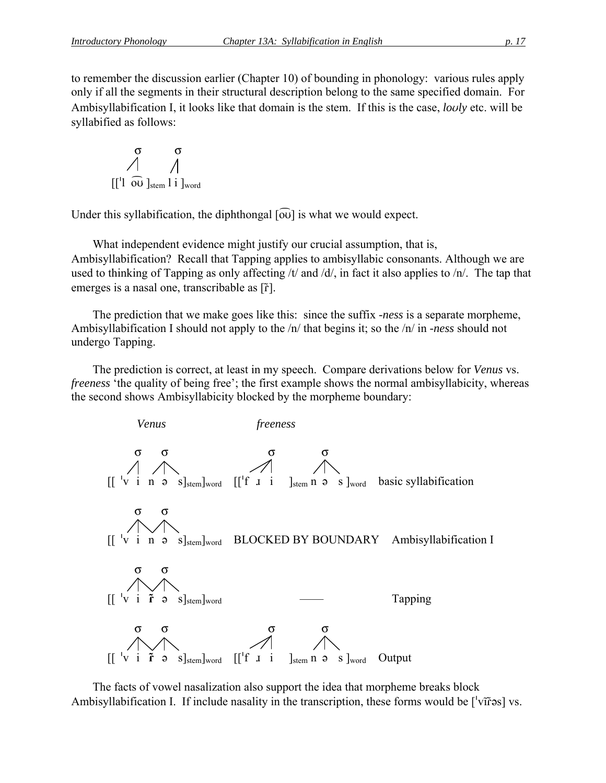to remember the discussion earlier (Chapter 10) of bounding in phonology: various rules apply only if all the segments in their structural description belong to the same specified domain. For Ambisyllabification I, it looks like that domain is the stem. If this is the case, *loly* etc. will be syllabified as follows:

$$
\begin{array}{c}\n\sigma & \sigma \\
\bigwedge^{\sigma} & \bigwedge^{\sigma} \\
[[1 \ \overline{0} \overline{0} \ ]_{\text{stem}} 1 \ \text{i} \ ]_{\text{word}}\n\end{array}
$$

Under this syllabification, the diphthongal  $\overline{[ov]}$  is what we would expect.

What independent evidence might justify our crucial assumption, that is, Ambisyllabification? Recall that Tapping applies to ambisyllabic consonants. Although we are used to thinking of Tapping as only affecting /t/ and /d/, in fact it also applies to /n/. The tap that emerges is a nasal one, transcribable as  $[\tilde{r}]$ .

The prediction that we make goes like this: since the suffix *-ness* is a separate morpheme, Ambisyllabification I should not apply to the /n/ that begins it; so the /n/ in *-ness* should not undergo Tapping.

The prediction is correct, at least in my speech. Compare derivations below for *Venus* vs. *freeness* 'the quality of being free'; the first example shows the normal ambisyllabicity, whereas the second shows Ambisyllabicity blocked by the morpheme boundary:



The facts of vowel nasalization also support the idea that morpheme breaks block Ambisyllabification I. If include nasality in the transcription, these forms would be  $\lceil \sqrt{v} \rceil$  vs.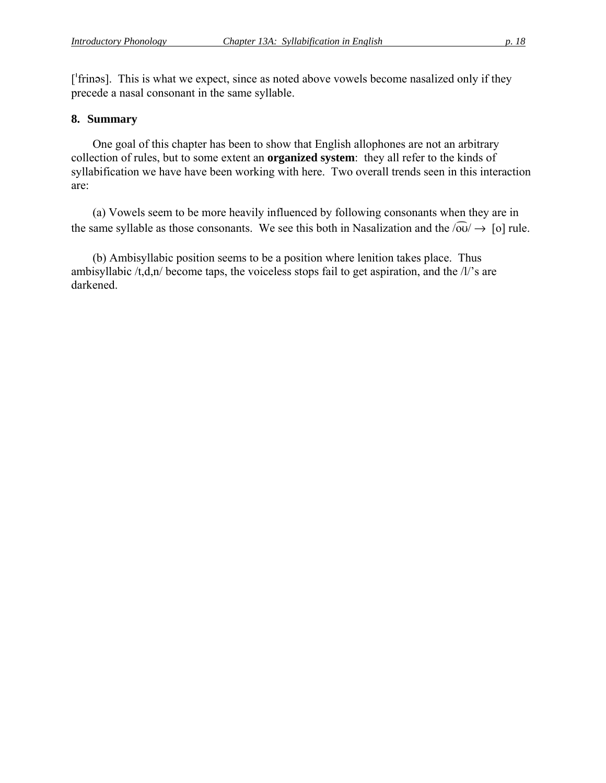['frines]. This is what we expect, since as noted above vowels become nasalized only if they precede a nasal consonant in the same syllable.

#### **8. Summary**

One goal of this chapter has been to show that English allophones are not an arbitrary collection of rules, but to some extent an **organized system**: they all refer to the kinds of syllabification we have have been working with here. Two overall trends seen in this interaction are:

(a) Vowels seem to be more heavily influenced by following consonants when they are in the same syllable as those consonants. We see this both in Nasalization and the  $\sqrt{\omega} \rightarrow [\alpha]$  rule.

(b) Ambisyllabic position seems to be a position where lenition takes place. Thus ambisyllabic  $/t, d, n/$  become taps, the voiceless stops fail to get aspiration, and the  $/l$ 's are darkened.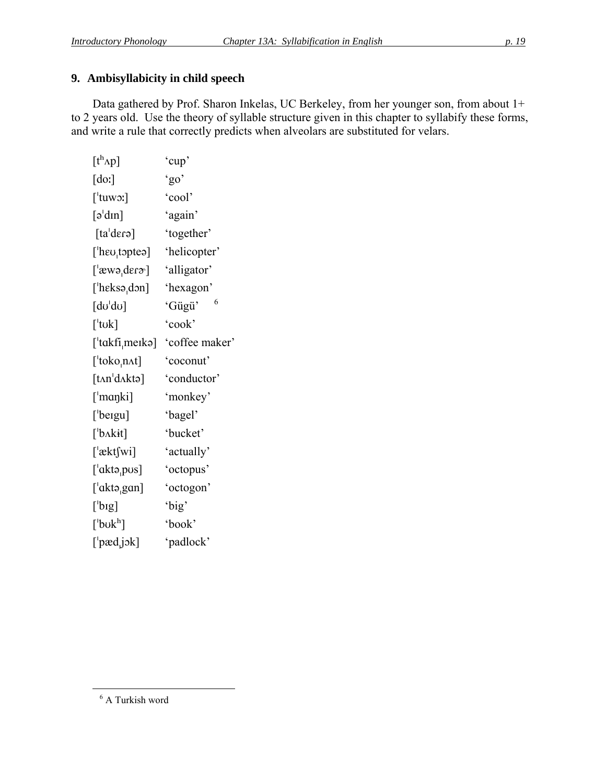## **9. Ambisyllabicity in child speech**

Data gathered by Prof. Sharon Inkelas, UC Berkeley, from her younger son, from about 1+ to 2 years old. Use the theory of syllable structure given in this chapter to syllabify these forms, and write a rule that correctly predicts when alveolars are substituted for velars.

| $[t^h \Lambda p]$                                                                                                                                                                                                                                                                                                                                                                                                                                                                         | 'cup'          |
|-------------------------------------------------------------------------------------------------------------------------------------------------------------------------------------------------------------------------------------------------------------------------------------------------------------------------------------------------------------------------------------------------------------------------------------------------------------------------------------------|----------------|
| $\lbrack \text{do:} \rbrack$                                                                                                                                                                                                                                                                                                                                                                                                                                                              | 'go'           |
| $[$ 'tuwo:]                                                                                                                                                                                                                                                                                                                                                                                                                                                                               | 'cool'         |
| $\lceil \vartheta \cdot \operatorname{dim} \rceil$                                                                                                                                                                                                                                                                                                                                                                                                                                        | 'again'        |
| $\lceil \text{t} \cdot \text{d} \cdot \text{d} \cdot \text{d} \cdot \text{d} \cdot \text{d} \cdot \text{d} \cdot \text{d} \cdot \text{d} \cdot \text{d} \cdot \text{d} \cdot \text{d} \cdot \text{d} \cdot \text{d} \cdot \text{d} \cdot \text{d} \cdot \text{d} \cdot \text{d} \cdot \text{d} \cdot \text{d} \cdot \text{d} \cdot \text{d} \cdot \text{d} \cdot \text{d} \cdot \text{d} \cdot \text{d} \cdot \text{d} \cdot \text{d} \cdot \text{d} \cdot \text{d} \cdot \text{d} \cdot$ | 'together'     |
| [ $'$ heu <sub>i</sub> toptea]                                                                                                                                                                                                                                                                                                                                                                                                                                                            | 'helicopter'   |
| ['æwə <sub>'</sub> derə']                                                                                                                                                                                                                                                                                                                                                                                                                                                                 | 'alligator'    |
| [ $'$ heksə $_1$ don]                                                                                                                                                                                                                                                                                                                                                                                                                                                                     | 'hexagon'      |
| $\lceil \mathrm{d} \sigma \rceil \mathrm{d} \sigma \rceil$                                                                                                                                                                                                                                                                                                                                                                                                                                | 6<br>'Gügü'    |
| $\lceil$ tuk]                                                                                                                                                                                                                                                                                                                                                                                                                                                                             | 'cook'         |
| ['takfi <sub> </sub> merkə]                                                                                                                                                                                                                                                                                                                                                                                                                                                               | 'coffee maker' |
| $[{}^{t}$ toko,n $\Lambda t]$                                                                                                                                                                                                                                                                                                                                                                                                                                                             | 'coconut'      |
| [tan <sup>1</sup> dAktə]                                                                                                                                                                                                                                                                                                                                                                                                                                                                  | 'conductor'    |
| [ˈmɑŋki]                                                                                                                                                                                                                                                                                                                                                                                                                                                                                  | 'monkey'       |
| ['beigu]                                                                                                                                                                                                                                                                                                                                                                                                                                                                                  | 'bagel'        |
| $\left[$ b $\Lambda$ kit $\right]$                                                                                                                                                                                                                                                                                                                                                                                                                                                        | 'bucket'       |
| ['æktʃwi]                                                                                                                                                                                                                                                                                                                                                                                                                                                                                 | 'actually'     |
| $[{}^{\iota}$ aktə <sub>ı</sub> pus]                                                                                                                                                                                                                                                                                                                                                                                                                                                      | 'octopus'      |
| $[ 'aktə_gan ]$                                                                                                                                                                                                                                                                                                                                                                                                                                                                           | 'octogon'      |
| $[$ 'bıg]                                                                                                                                                                                                                                                                                                                                                                                                                                                                                 | 'big'          |
| $[$ 'buk $^{\rm h}]$                                                                                                                                                                                                                                                                                                                                                                                                                                                                      | 'book'         |
| $[$ pædj $\alpha$ k]                                                                                                                                                                                                                                                                                                                                                                                                                                                                      | 'padlock'      |
|                                                                                                                                                                                                                                                                                                                                                                                                                                                                                           |                |

<span id="page-18-0"></span> $\overline{a}$ 

<sup>6</sup> A Turkish word